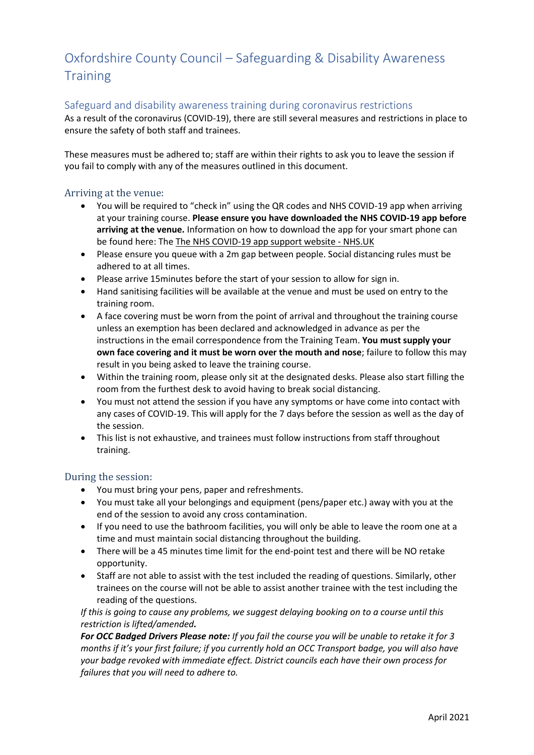## Oxfordshire County Council – Safeguarding & Disability Awareness **Training**

## Safeguard and disability awareness training during coronavirus restrictions

As a result of the coronavirus (COVID-19), there are still several measures and restrictions in place to ensure the safety of both staff and trainees.

These measures must be adhered to; staff are within their rights to ask you to leave the session if you fail to comply with any of the measures outlined in this document.

## Arriving at the venue:

- You will be required to "check in" using the QR codes and NHS COVID-19 app when arriving at your training course. **Please ensure you have downloaded the NHS COVID-19 app before arriving at the venue.** Information on how to download the app for your smart phone can be found here: The [The NHS COVID-19 app support website -](https://covid19.nhs.uk/) NHS.UK
- Please ensure you queue with a 2m gap between people. Social distancing rules must be adhered to at all times.
- Please arrive 15minutes before the start of your session to allow for sign in.
- Hand sanitising facilities will be available at the venue and must be used on entry to the training room.
- A face covering must be worn from the point of arrival and throughout the training course unless an exemption has been declared and acknowledged in advance as per the instructions in the email correspondence from the Training Team. **You must supply your own face covering and it must be worn over the mouth and nose**; failure to follow this may result in you being asked to leave the training course.
- Within the training room, please only sit at the designated desks. Please also start filling the room from the furthest desk to avoid having to break social distancing.
- You must not attend the session if you have any symptoms or have come into contact with any cases of COVID-19. This will apply for the 7 days before the session as well as the day of the session.
- This list is not exhaustive, and trainees must follow instructions from staff throughout training.

## During the session:

- You must bring your pens, paper and refreshments.
- You must take all your belongings and equipment (pens/paper etc.) away with you at the end of the session to avoid any cross contamination.
- If you need to use the bathroom facilities, you will only be able to leave the room one at a time and must maintain social distancing throughout the building.
- There will be a 45 minutes time limit for the end-point test and there will be NO retake opportunity.
- Staff are not able to assist with the test included the reading of questions. Similarly, other trainees on the course will not be able to assist another trainee with the test including the reading of the questions.

*If this is going to cause any problems, we suggest delaying booking on to a course until this restriction is lifted/amended.* 

*For OCC Badged Drivers Please note: If you fail the course you will be unable to retake it for 3 months if it's your first failure; if you currently hold an OCC Transport badge, you will also have your badge revoked with immediate effect. District councils each have their own process for failures that you will need to adhere to.*